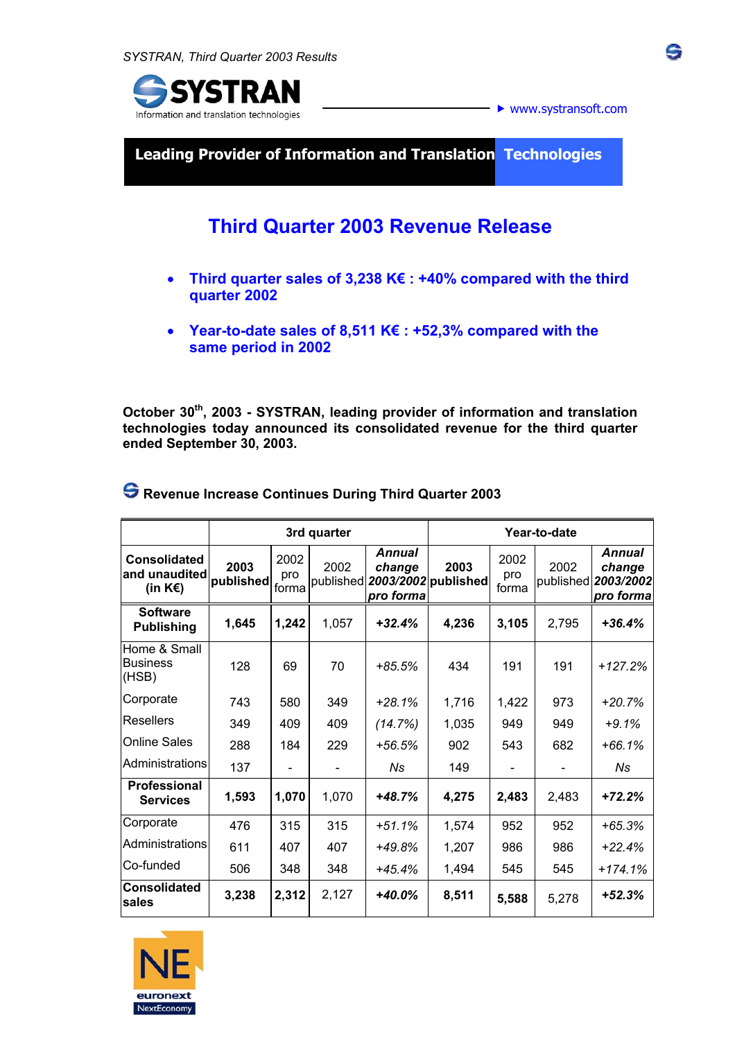

**Leading Provider of Information and Translation Technologies** 

# **Third Quarter 2003 Revenue Release**

- **Third quarter sales of 3,238 K€ : +40% compared with the third quarter 2002**
- **Year-to-date sales of 8,511 K€ : +52,3% compared with the same period in 2002**

**October 30th, 2003 - SYSTRAN, leading provider of information and translation technologies today announced its consolidated revenue for the third quarter ended September 30, 2003.** 

|                                                                  | 3rd quarter       |                      |       |                                      | Year-to-date                          |                      |       |                                                             |
|------------------------------------------------------------------|-------------------|----------------------|-------|--------------------------------------|---------------------------------------|----------------------|-------|-------------------------------------------------------------|
| <b>Consolidated</b><br>and unaudited<br>(in $K \in \mathbb{R}$ ) | 2003<br>published | 2002<br>pro<br>forma | 2002  | <b>Annual</b><br>change<br>pro forma | 2003<br>published 2003/2002 published | 2002<br>pro<br>forma | 2002  | <b>Annual</b><br>change<br>published 2003/2002<br>pro forma |
| <b>Software</b><br><b>Publishing</b>                             | 1,645             | 1,242                | 1,057 | $+32.4%$                             | 4,236                                 | 3,105                | 2.795 | $+36.4%$                                                    |
| Home & Small<br><b>Business</b><br>(HSB)                         | 128               | 69                   | 70    | $+85.5%$                             | 434                                   | 191                  | 191   | $+127.2%$                                                   |
| Corporate                                                        | 743               | 580                  | 349   | $+28.1%$                             | 1,716                                 | 1,422                | 973   | $+20.7%$                                                    |
| Resellers                                                        | 349               | 409                  | 409   | (14.7%)                              | 1,035                                 | 949                  | 949   | $+9.1%$                                                     |
| <b>Online Sales</b>                                              | 288               | 184                  | 229   | $+56.5%$                             | 902                                   | 543                  | 682   | $+66.1%$                                                    |
| Administrations                                                  | 137               |                      |       | Ns                                   | 149                                   |                      |       | Ns                                                          |
| <b>Professional</b><br><b>Services</b>                           | 1,593             | 1,070                | 1,070 | +48.7%                               | 4,275                                 | 2,483                | 2,483 | $+72.2%$                                                    |
| Corporate                                                        | 476               | 315                  | 315   | $+51.1%$                             | 1,574                                 | 952                  | 952   | $+65.3%$                                                    |
| Administrations                                                  | 611               | 407                  | 407   | +49.8%                               | 1,207                                 | 986                  | 986   | $+22.4%$                                                    |
| Co-funded                                                        | 506               | 348                  | 348   | $+45.4%$                             | 1,494                                 | 545                  | 545   | $+174.1%$                                                   |
| <b>Consolidated</b><br>sales                                     | 3,238             | 2,312                | 2,127 | $+40.0%$                             | 8,511                                 | 5,588                | 5,278 | $+52.3%$                                                    |

 **Revenue Increase Continues During Third Quarter 2003**

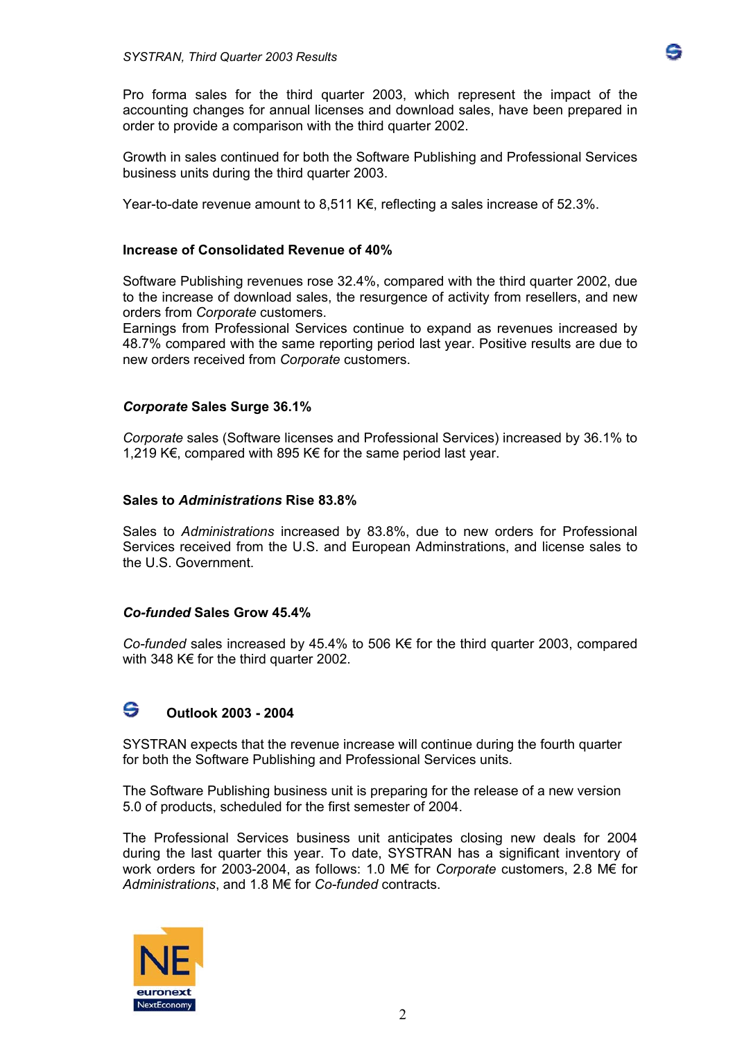Pro forma sales for the third quarter 2003, which represent the impact of the accounting changes for annual licenses and download sales, have been prepared in order to provide a comparison with the third quarter 2002.

Growth in sales continued for both the Software Publishing and Professional Services business units during the third quarter 2003.

Year-to-date revenue amount to 8,511 K€, reflecting a sales increase of 52.3%.

### **Increase of Consolidated Revenue of 40%**

Software Publishing revenues rose 32.4%, compared with the third quarter 2002, due to the increase of download sales, the resurgence of activity from resellers, and new orders from *Corporate* customers.

Earnings from Professional Services continue to expand as revenues increased by 48.7% compared with the same reporting period last year. Positive results are due to new orders received from *Corporate* customers.

#### *Corporate* **Sales Surge 36.1%**

*Corporate* sales (Software licenses and Professional Services) increased by 36.1% to 1,219 K€, compared with 895 K€ for the same period last year.

#### **Sales to** *Administrations* **Rise 83.8%**

Sales to *Administrations* increased by 83.8%, due to new orders for Professional Services received from the U.S. and European Adminstrations, and license sales to the U.S. Government.

#### *Co-funded* **Sales Grow 45.4%**

*Co-funded* sales increased by 45.4% to 506 K€ for the third quarter 2003, compared with 348 K€ for the third quarter 2002.

# **Outlook 2003 - 2004**

SYSTRAN expects that the revenue increase will continue during the fourth quarter for both the Software Publishing and Professional Services units.

The Software Publishing business unit is preparing for the release of a new version 5.0 of products, scheduled for the first semester of 2004.

The Professional Services business unit anticipates closing new deals for 2004 during the last quarter this year. To date, SYSTRAN has a significant inventory of work orders for 2003-2004, as follows: 1.0 M€ for *Corporate* customers, 2.8 M€ for *Administrations*, and 1.8 M€ for *Co-funded* contracts.